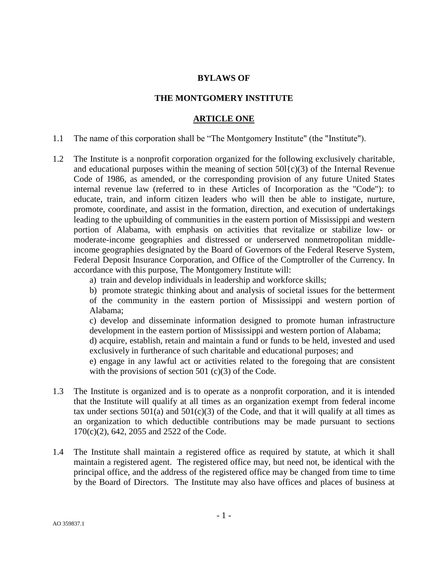## **BYLAWS OF**

## **THE MONTGOMERY INSTITUTE**

#### **ARTICLE ONE**

1.1 The name of this corporation shall be "The Montgomery Institute" (the "Institute").

1.2 The Institute is a nonprofit corporation organized for the following exclusively charitable, and educational purposes within the meaning of section  $50\{(c)(3)$  of the Internal Revenue Code of 1986, as amended, or the corresponding provision of any future United States internal revenue law (referred to in these Articles of Incorporation as the "Code"): to educate, train, and inform citizen leaders who will then be able to instigate, nurture, promote, coordinate, and assist in the formation, direction, and execution of undertakings leading to the upbuilding of communities in the eastern portion of Mississippi and western portion of Alabama, with emphasis on activities that revitalize or stabilize low- or moderate-income geographies and distressed or underserved nonmetropolitan middleincome geographies designated by the Board of Governors of the Federal Reserve System, Federal Deposit Insurance Corporation, and Office of the Comptroller of the Currency. In accordance with this purpose, The Montgomery Institute will:

a) train and develop individuals in leadership and workforce skills;

b) promote strategic thinking about and analysis of societal issues for the betterment of the community in the eastern portion of Mississippi and western portion of Alabama;

c) develop and disseminate information designed to promote human infrastructure development in the eastern portion of Mississippi and western portion of Alabama;

d) acquire, establish, retain and maintain a fund or funds to be held, invested and used exclusively in furtherance of such charitable and educational purposes; and

e) engage in any lawful act or activities related to the foregoing that are consistent with the provisions of section 501  $(c)(3)$  of the Code.

- 1.3 The Institute is organized and is to operate as a nonprofit corporation, and it is intended that the Institute will qualify at all times as an organization exempt from federal income tax under sections  $501(a)$  and  $501(c)(3)$  of the Code, and that it will qualify at all times as an organization to which deductible contributions may be made pursuant to sections 170(c)(2), 642, 2055 and 2522 of the Code.
- 1.4 The Institute shall maintain a registered office as required by statute, at which it shall maintain a registered agent. The registered office may, but need not, be identical with the principal office, and the address of the registered office may be changed from time to time by the Board of Directors. The Institute may also have offices and places of business at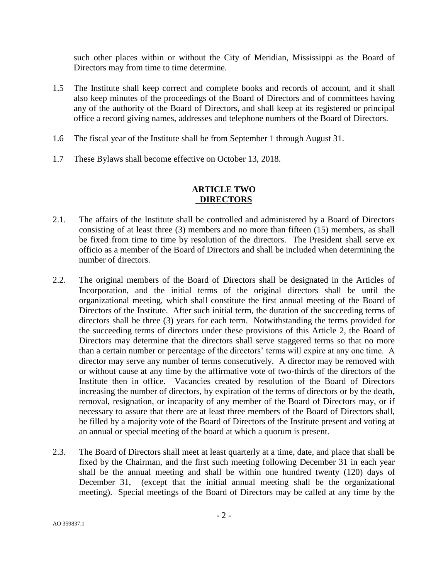such other places within or without the City of Meridian, Mississippi as the Board of Directors may from time to time determine.

- 1.5 The Institute shall keep correct and complete books and records of account, and it shall also keep minutes of the proceedings of the Board of Directors and of committees having any of the authority of the Board of Directors, and shall keep at its registered or principal office a record giving names, addresses and telephone numbers of the Board of Directors.
- 1.6 The fiscal year of the Institute shall be from September 1 through August 31.
- 1.7 These Bylaws shall become effective on October 13, 2018.

## **ARTICLE TWO DIRECTORS**

- 2.1. The affairs of the Institute shall be controlled and administered by a Board of Directors consisting of at least three (3) members and no more than fifteen (15) members, as shall be fixed from time to time by resolution of the directors. The President shall serve ex officio as a member of the Board of Directors and shall be included when determining the number of directors.
- 2.2. The original members of the Board of Directors shall be designated in the Articles of Incorporation, and the initial terms of the original directors shall be until the organizational meeting, which shall constitute the first annual meeting of the Board of Directors of the Institute. After such initial term, the duration of the succeeding terms of directors shall be three (3) years for each term. Notwithstanding the terms provided for the succeeding terms of directors under these provisions of this Article 2, the Board of Directors may determine that the directors shall serve staggered terms so that no more than a certain number or percentage of the directors' terms will expire at any one time. A director may serve any number of terms consecutively. A director may be removed with or without cause at any time by the affirmative vote of two-thirds of the directors of the Institute then in office. Vacancies created by resolution of the Board of Directors increasing the number of directors, by expiration of the terms of directors or by the death, removal, resignation, or incapacity of any member of the Board of Directors may, or if necessary to assure that there are at least three members of the Board of Directors shall, be filled by a majority vote of the Board of Directors of the Institute present and voting at an annual or special meeting of the board at which a quorum is present.
- 2.3. The Board of Directors shall meet at least quarterly at a time, date, and place that shall be fixed by the Chairman, and the first such meeting following December 31 in each year shall be the annual meeting and shall be within one hundred twenty (120) days of December 31, (except that the initial annual meeting shall be the organizational meeting). Special meetings of the Board of Directors may be called at any time by the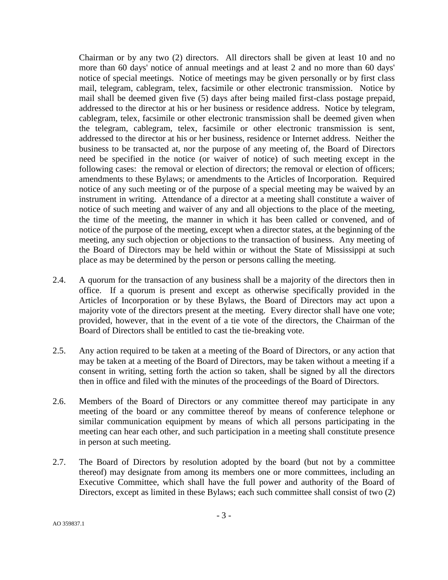Chairman or by any two (2) directors. All directors shall be given at least 10 and no more than 60 days' notice of annual meetings and at least 2 and no more than 60 days' notice of special meetings. Notice of meetings may be given personally or by first class mail, telegram, cablegram, telex, facsimile or other electronic transmission. Notice by mail shall be deemed given five (5) days after being mailed first-class postage prepaid, addressed to the director at his or her business or residence address. Notice by telegram, cablegram, telex, facsimile or other electronic transmission shall be deemed given when the telegram, cablegram, telex, facsimile or other electronic transmission is sent, addressed to the director at his or her business, residence or Internet address. Neither the business to be transacted at, nor the purpose of any meeting of, the Board of Directors need be specified in the notice (or waiver of notice) of such meeting except in the following cases: the removal or election of directors; the removal or election of officers; amendments to these Bylaws; or amendments to the Articles of Incorporation. Required notice of any such meeting or of the purpose of a special meeting may be waived by an instrument in writing. Attendance of a director at a meeting shall constitute a waiver of notice of such meeting and waiver of any and all objections to the place of the meeting, the time of the meeting, the manner in which it has been called or convened, and of notice of the purpose of the meeting, except when a director states, at the beginning of the meeting, any such objection or objections to the transaction of business. Any meeting of the Board of Directors may be held within or without the State of Mississippi at such place as may be determined by the person or persons calling the meeting.

- 2.4. A quorum for the transaction of any business shall be a majority of the directors then in office. If a quorum is present and except as otherwise specifically provided in the Articles of Incorporation or by these Bylaws, the Board of Directors may act upon a majority vote of the directors present at the meeting. Every director shall have one vote; provided, however, that in the event of a tie vote of the directors, the Chairman of the Board of Directors shall be entitled to cast the tie-breaking vote.
- 2.5. Any action required to be taken at a meeting of the Board of Directors, or any action that may be taken at a meeting of the Board of Directors, may be taken without a meeting if a consent in writing, setting forth the action so taken, shall be signed by all the directors then in office and filed with the minutes of the proceedings of the Board of Directors.
- 2.6. Members of the Board of Directors or any committee thereof may participate in any meeting of the board or any committee thereof by means of conference telephone or similar communication equipment by means of which all persons participating in the meeting can hear each other, and such participation in a meeting shall constitute presence in person at such meeting.
- 2.7. The Board of Directors by resolution adopted by the board (but not by a committee thereof) may designate from among its members one or more committees, including an Executive Committee, which shall have the full power and authority of the Board of Directors, except as limited in these Bylaws; each such committee shall consist of two (2)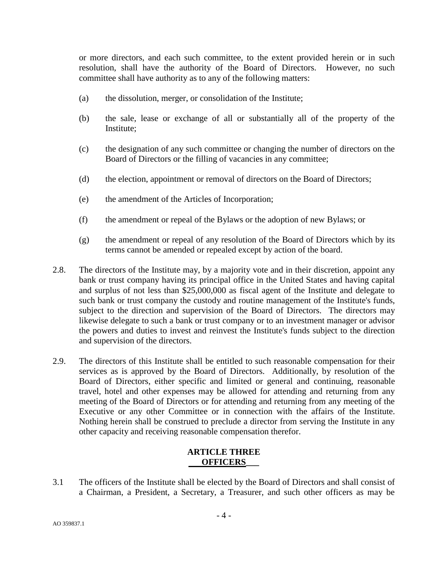or more directors, and each such committee, to the extent provided herein or in such resolution, shall have the authority of the Board of Directors. However, no such committee shall have authority as to any of the following matters:

- (a) the dissolution, merger, or consolidation of the Institute;
- (b) the sale, lease or exchange of all or substantially all of the property of the Institute;
- (c) the designation of any such committee or changing the number of directors on the Board of Directors or the filling of vacancies in any committee;
- (d) the election, appointment or removal of directors on the Board of Directors;
- (e) the amendment of the Articles of Incorporation;
- (f) the amendment or repeal of the Bylaws or the adoption of new Bylaws; or
- (g) the amendment or repeal of any resolution of the Board of Directors which by its terms cannot be amended or repealed except by action of the board.
- 2.8. The directors of the Institute may, by a majority vote and in their discretion, appoint any bank or trust company having its principal office in the United States and having capital and surplus of not less than \$25,000,000 as fiscal agent of the Institute and delegate to such bank or trust company the custody and routine management of the Institute's funds, subject to the direction and supervision of the Board of Directors. The directors may likewise delegate to such a bank or trust company or to an investment manager or advisor the powers and duties to invest and reinvest the Institute's funds subject to the direction and supervision of the directors.
- 2.9. The directors of this Institute shall be entitled to such reasonable compensation for their services as is approved by the Board of Directors. Additionally, by resolution of the Board of Directors, either specific and limited or general and continuing, reasonable travel, hotel and other expenses may be allowed for attending and returning from any meeting of the Board of Directors or for attending and returning from any meeting of the Executive or any other Committee or in connection with the affairs of the Institute. Nothing herein shall be construed to preclude a director from serving the Institute in any other capacity and receiving reasonable compensation therefor.

# **ARTICLE THREE OFFICERS\_\_\_**

3.1 The officers of the Institute shall be elected by the Board of Directors and shall consist of a Chairman, a President, a Secretary, a Treasurer, and such other officers as may be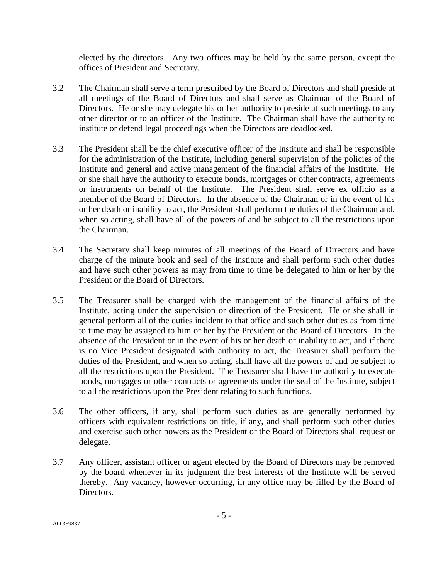elected by the directors. Any two offices may be held by the same person, except the offices of President and Secretary.

- 3.2 The Chairman shall serve a term prescribed by the Board of Directors and shall preside at all meetings of the Board of Directors and shall serve as Chairman of the Board of Directors. He or she may delegate his or her authority to preside at such meetings to any other director or to an officer of the Institute. The Chairman shall have the authority to institute or defend legal proceedings when the Directors are deadlocked.
- 3.3 The President shall be the chief executive officer of the Institute and shall be responsible for the administration of the Institute, including general supervision of the policies of the Institute and general and active management of the financial affairs of the Institute. He or she shall have the authority to execute bonds, mortgages or other contracts, agreements or instruments on behalf of the Institute. The President shall serve ex officio as a member of the Board of Directors. In the absence of the Chairman or in the event of his or her death or inability to act, the President shall perform the duties of the Chairman and, when so acting, shall have all of the powers of and be subject to all the restrictions upon the Chairman.
- 3.4 The Secretary shall keep minutes of all meetings of the Board of Directors and have charge of the minute book and seal of the Institute and shall perform such other duties and have such other powers as may from time to time be delegated to him or her by the President or the Board of Directors.
- 3.5 The Treasurer shall be charged with the management of the financial affairs of the Institute, acting under the supervision or direction of the President. He or she shall in general perform all of the duties incident to that office and such other duties as from time to time may be assigned to him or her by the President or the Board of Directors. In the absence of the President or in the event of his or her death or inability to act, and if there is no Vice President designated with authority to act, the Treasurer shall perform the duties of the President, and when so acting, shall have all the powers of and be subject to all the restrictions upon the President. The Treasurer shall have the authority to execute bonds, mortgages or other contracts or agreements under the seal of the Institute, subject to all the restrictions upon the President relating to such functions.
- 3.6 The other officers, if any, shall perform such duties as are generally performed by officers with equivalent restrictions on title, if any, and shall perform such other duties and exercise such other powers as the President or the Board of Directors shall request or delegate.
- 3.7 Any officer, assistant officer or agent elected by the Board of Directors may be removed by the board whenever in its judgment the best interests of the Institute will be served thereby. Any vacancy, however occurring, in any office may be filled by the Board of Directors.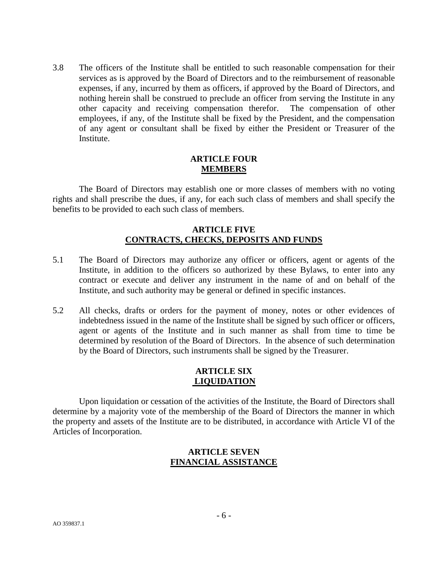3.8 The officers of the Institute shall be entitled to such reasonable compensation for their services as is approved by the Board of Directors and to the reimbursement of reasonable expenses, if any, incurred by them as officers, if approved by the Board of Directors, and nothing herein shall be construed to preclude an officer from serving the Institute in any other capacity and receiving compensation therefor. The compensation of other employees, if any, of the Institute shall be fixed by the President, and the compensation of any agent or consultant shall be fixed by either the President or Treasurer of the Institute.

## **ARTICLE FOUR MEMBERS**

The Board of Directors may establish one or more classes of members with no voting rights and shall prescribe the dues, if any, for each such class of members and shall specify the benefits to be provided to each such class of members.

## **ARTICLE FIVE CONTRACTS, CHECKS, DEPOSITS AND FUNDS**

- 5.1 The Board of Directors may authorize any officer or officers, agent or agents of the Institute, in addition to the officers so authorized by these Bylaws, to enter into any contract or execute and deliver any instrument in the name of and on behalf of the Institute, and such authority may be general or defined in specific instances.
- 5.2 All checks, drafts or orders for the payment of money, notes or other evidences of indebtedness issued in the name of the Institute shall be signed by such officer or officers, agent or agents of the Institute and in such manner as shall from time to time be determined by resolution of the Board of Directors. In the absence of such determination by the Board of Directors, such instruments shall be signed by the Treasurer.

# **ARTICLE SIX LIQUIDATION**

Upon liquidation or cessation of the activities of the Institute, the Board of Directors shall determine by a majority vote of the membership of the Board of Directors the manner in which the property and assets of the Institute are to be distributed, in accordance with Article VI of the Articles of Incorporation.

# **ARTICLE SEVEN FINANCIAL ASSISTANCE**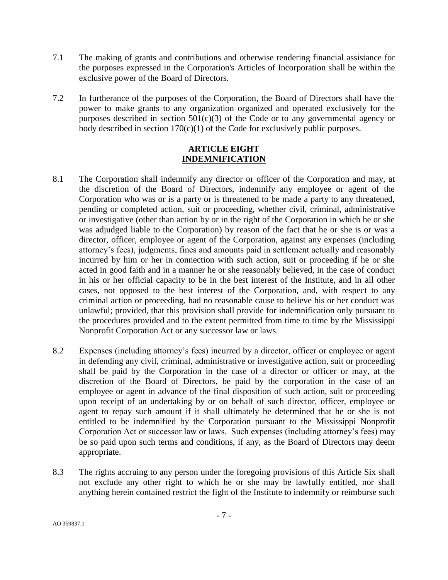- 7.1 The making of grants and contributions and otherwise rendering financial assistance for the purposes expressed in the Corporation's Articles of Incorporation shall be within the exclusive power of the Board of Directors.
- 7.2 In furtherance of the purposes of the Corporation, the Board of Directors shall have the power to make grants to any organization organized and operated exclusively for the purposes described in section  $501(c)(3)$  of the Code or to any governmental agency or body described in section 170(c)(1) of the Code for exclusively public purposes.

## **ARTICLE EIGHT INDEMNIFICATION**

- 8.1 The Corporation shall indemnify any director or officer of the Corporation and may, at the discretion of the Board of Directors, indemnify any employee or agent of the Corporation who was or is a party or is threatened to be made a party to any threatened, pending or completed action, suit or proceeding, whether civil, criminal, administrative or investigative (other than action by or in the right of the Corporation in which he or she was adjudged liable to the Corporation) by reason of the fact that he or she is or was a director, officer, employee or agent of the Corporation, against any expenses (including attorney's fees), judgments, fines and amounts paid in settlement actually and reasonably incurred by him or her in connection with such action, suit or proceeding if he or she acted in good faith and in a manner he or she reasonably believed, in the case of conduct in his or her official capacity to be in the best interest of the Institute, and in all other cases, not opposed to the best interest of the Corporation, and, with respect to any criminal action or proceeding, had no reasonable cause to believe his or her conduct was unlawful; provided, that this provision shall provide for indemnification only pursuant to the procedures provided and to the extent permitted from time to time by the Mississippi Nonprofit Corporation Act or any successor law or laws.
- 8.2 Expenses (including attorney's fees) incurred by a director, officer or employee or agent in defending any civil, criminal, administrative or investigative action, suit or proceeding shall be paid by the Corporation in the case of a director or officer or may, at the discretion of the Board of Directors, be paid by the corporation in the case of an employee or agent in advance of the final disposition of such action, suit or proceeding upon receipt of an undertaking by or on behalf of such director, officer, employee or agent to repay such amount if it shall ultimately be determined that he or she is not entitled to be indemnified by the Corporation pursuant to the Mississippi Nonprofit Corporation Act or successor law or laws. Such expenses (including attorney's fees) may be so paid upon such terms and conditions, if any, as the Board of Directors may deem appropriate.
- 8.3 The rights accruing to any person under the foregoing provisions of this Article Six shall not exclude any other right to which he or she may be lawfully entitled, nor shall anything herein contained restrict the fight of the Institute to indemnify or reimburse such